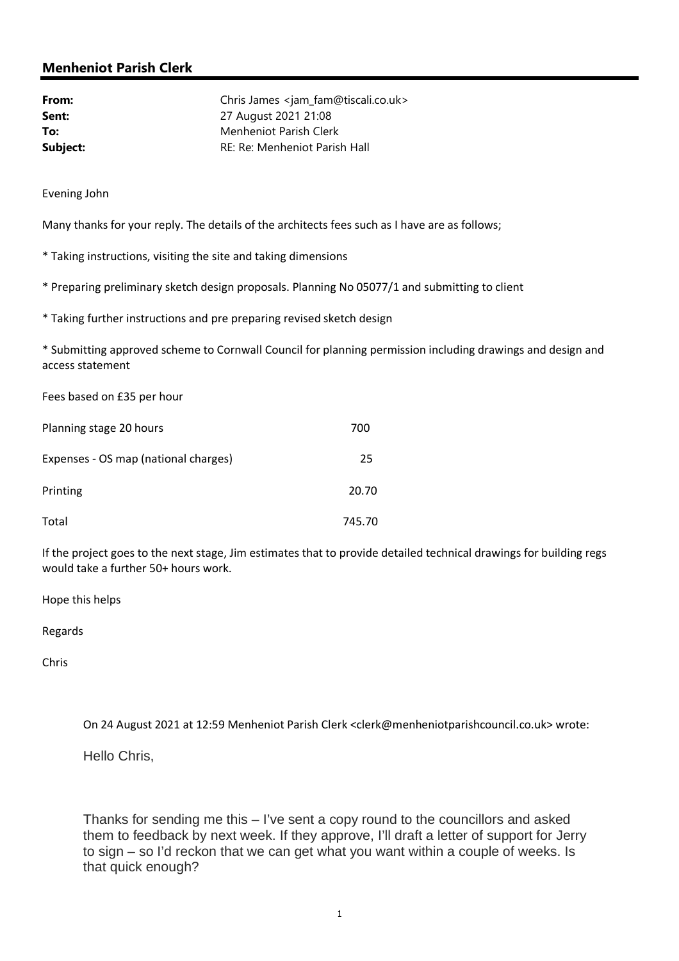# Menheniot Parish Clerk

| From:    | Chris James <jam_fam@tiscali.co.uk></jam_fam@tiscali.co.uk> |
|----------|-------------------------------------------------------------|
| Sent:    | 27 August 2021 21:08                                        |
| To:      | Menheniot Parish Clerk                                      |
| Subject: | RE: Re: Menheniot Parish Hall                               |

Evening John

Many thanks for your reply. The details of the architects fees such as I have are as follows;

\* Taking instructions, visiting the site and taking dimensions

\* Preparing preliminary sketch design proposals. Planning No 05077/1 and submitting to client

\* Taking further instructions and pre preparing revised sketch design

\* Submitting approved scheme to Cornwall Council for planning permission including drawings and design and access statement

Fees based on £35 per hour

| Planning stage 20 hours              | 700    |
|--------------------------------------|--------|
| Expenses - OS map (national charges) | 25     |
| Printing                             | 20.70  |
| Total                                | 745.70 |

If the project goes to the next stage, Jim estimates that to provide detailed technical drawings for building regs would take a further 50+ hours work.

Hope this helps

Regards

Chris

On 24 August 2021 at 12:59 Menheniot Parish Clerk <clerk@menheniotparishcouncil.co.uk> wrote:

Hello Chris,

Thanks for sending me this – I've sent a copy round to the councillors and asked them to feedback by next week. If they approve, I'll draft a letter of support for Jerry to sign – so I'd reckon that we can get what you want within a couple of weeks. Is that quick enough?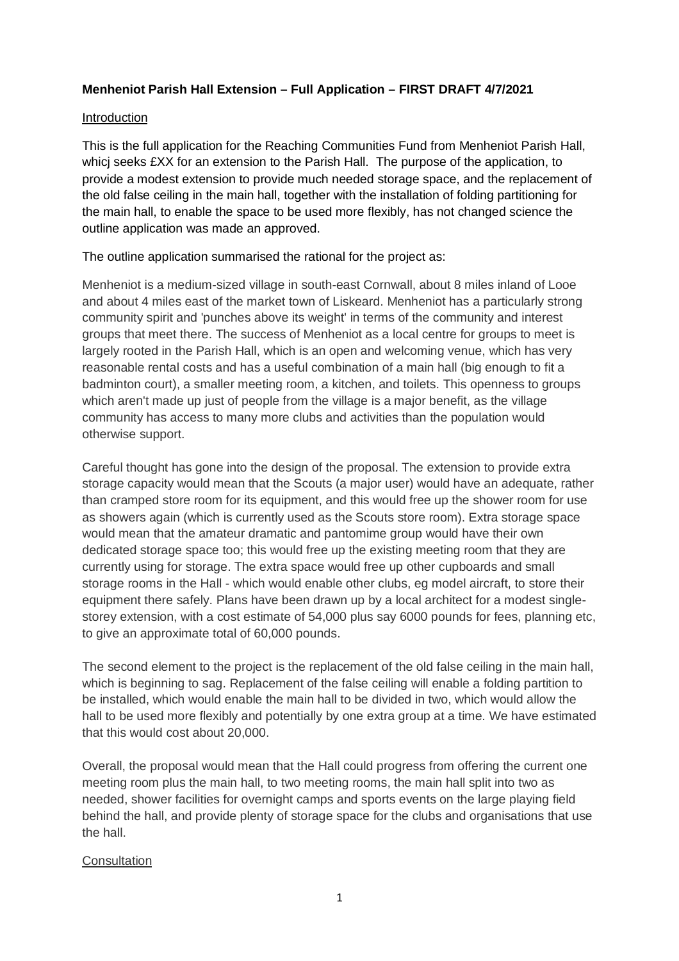## **Menheniot Parish Hall Extension – Full Application – FIRST DRAFT 4/7/2021**

### Introduction

This is the full application for the Reaching Communities Fund from Menheniot Parish Hall, whicj seeks £XX for an extension to the Parish Hall. The purpose of the application, to provide a modest extension to provide much needed storage space, and the replacement of the old false ceiling in the main hall, together with the installation of folding partitioning for the main hall, to enable the space to be used more flexibly, has not changed science the outline application was made an approved.

The outline application summarised the rational for the project as:

Menheniot is a medium-sized village in south-east Cornwall, about 8 miles inland of Looe and about 4 miles east of the market town of Liskeard. Menheniot has a particularly strong community spirit and 'punches above its weight' in terms of the community and interest groups that meet there. The success of Menheniot as a local centre for groups to meet is largely rooted in the Parish Hall, which is an open and welcoming venue, which has very reasonable rental costs and has a useful combination of a main hall (big enough to fit a badminton court), a smaller meeting room, a kitchen, and toilets. This openness to groups which aren't made up just of people from the village is a major benefit, as the village community has access to many more clubs and activities than the population would otherwise support.

Careful thought has gone into the design of the proposal. The extension to provide extra storage capacity would mean that the Scouts (a major user) would have an adequate, rather than cramped store room for its equipment, and this would free up the shower room for use as showers again (which is currently used as the Scouts store room). Extra storage space would mean that the amateur dramatic and pantomime group would have their own dedicated storage space too; this would free up the existing meeting room that they are currently using for storage. The extra space would free up other cupboards and small storage rooms in the Hall - which would enable other clubs, eg model aircraft, to store their equipment there safely. Plans have been drawn up by a local architect for a modest singlestorey extension, with a cost estimate of 54,000 plus say 6000 pounds for fees, planning etc, to give an approximate total of 60,000 pounds.

The second element to the project is the replacement of the old false ceiling in the main hall, which is beginning to sag. Replacement of the false ceiling will enable a folding partition to be installed, which would enable the main hall to be divided in two, which would allow the hall to be used more flexibly and potentially by one extra group at a time. We have estimated that this would cost about 20,000.

Overall, the proposal would mean that the Hall could progress from offering the current one meeting room plus the main hall, to two meeting rooms, the main hall split into two as needed, shower facilities for overnight camps and sports events on the large playing field behind the hall, and provide plenty of storage space for the clubs and organisations that use the hall.

#### **Consultation**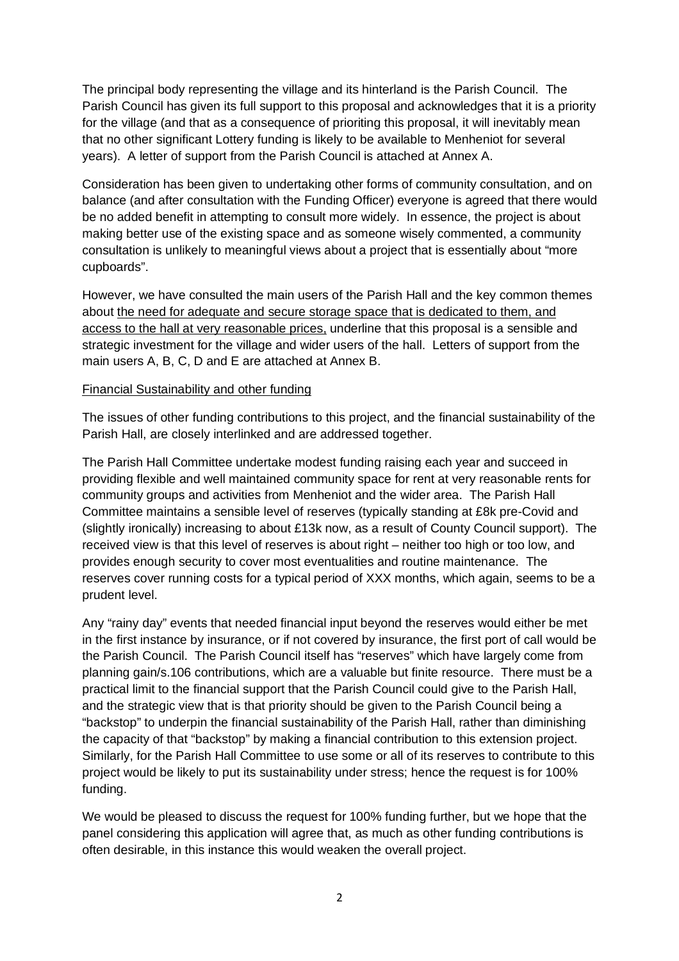The principal body representing the village and its hinterland is the Parish Council. The Parish Council has given its full support to this proposal and acknowledges that it is a priority for the village (and that as a consequence of prioriting this proposal, it will inevitably mean that no other significant Lottery funding is likely to be available to Menheniot for several years). A letter of support from the Parish Council is attached at Annex A.

Consideration has been given to undertaking other forms of community consultation, and on balance (and after consultation with the Funding Officer) everyone is agreed that there would be no added benefit in attempting to consult more widely. In essence, the project is about making better use of the existing space and as someone wisely commented, a community consultation is unlikely to meaningful views about a project that is essentially about "more cupboards".

However, we have consulted the main users of the Parish Hall and the key common themes about the need for adequate and secure storage space that is dedicated to them, and access to the hall at very reasonable prices, underline that this proposal is a sensible and strategic investment for the village and wider users of the hall. Letters of support from the main users A, B, C, D and E are attached at Annex B.

### Financial Sustainability and other funding

The issues of other funding contributions to this project, and the financial sustainability of the Parish Hall, are closely interlinked and are addressed together.

The Parish Hall Committee undertake modest funding raising each year and succeed in providing flexible and well maintained community space for rent at very reasonable rents for community groups and activities from Menheniot and the wider area. The Parish Hall Committee maintains a sensible level of reserves (typically standing at £8k pre-Covid and (slightly ironically) increasing to about £13k now, as a result of County Council support). The received view is that this level of reserves is about right – neither too high or too low, and provides enough security to cover most eventualities and routine maintenance. The reserves cover running costs for a typical period of XXX months, which again, seems to be a prudent level.

Any "rainy day" events that needed financial input beyond the reserves would either be met in the first instance by insurance, or if not covered by insurance, the first port of call would be the Parish Council. The Parish Council itself has "reserves" which have largely come from planning gain/s.106 contributions, which are a valuable but finite resource. There must be a practical limit to the financial support that the Parish Council could give to the Parish Hall, and the strategic view that is that priority should be given to the Parish Council being a "backstop" to underpin the financial sustainability of the Parish Hall, rather than diminishing the capacity of that "backstop" by making a financial contribution to this extension project. Similarly, for the Parish Hall Committee to use some or all of its reserves to contribute to this project would be likely to put its sustainability under stress; hence the request is for 100% funding.

We would be pleased to discuss the request for 100% funding further, but we hope that the panel considering this application will agree that, as much as other funding contributions is often desirable, in this instance this would weaken the overall project.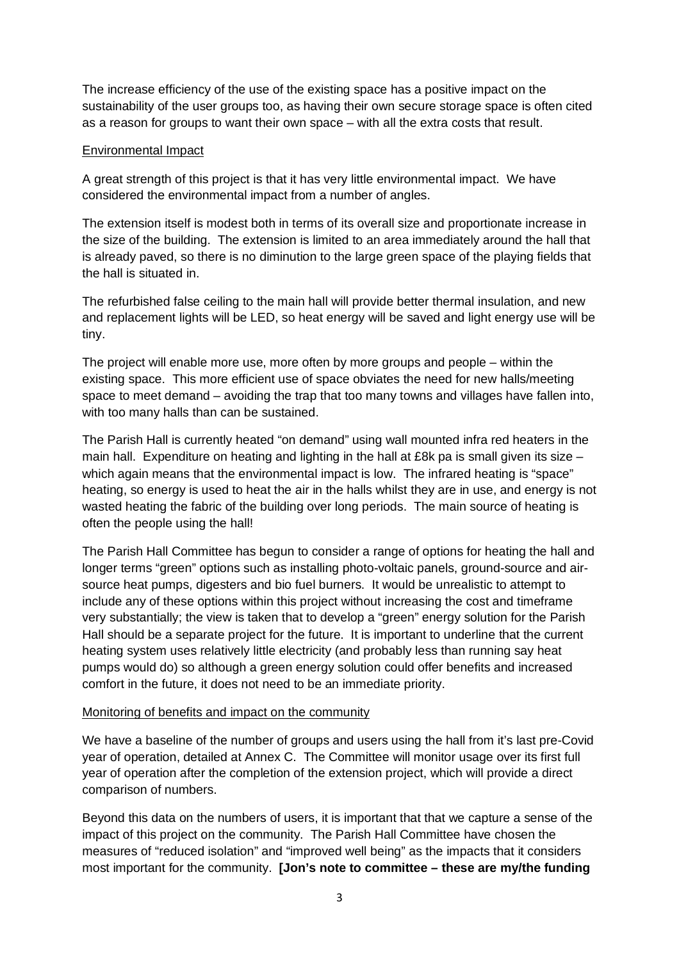The increase efficiency of the use of the existing space has a positive impact on the sustainability of the user groups too, as having their own secure storage space is often cited as a reason for groups to want their own space – with all the extra costs that result.

### Environmental Impact

A great strength of this project is that it has very little environmental impact. We have considered the environmental impact from a number of angles.

The extension itself is modest both in terms of its overall size and proportionate increase in the size of the building. The extension is limited to an area immediately around the hall that is already paved, so there is no diminution to the large green space of the playing fields that the hall is situated in.

The refurbished false ceiling to the main hall will provide better thermal insulation, and new and replacement lights will be LED, so heat energy will be saved and light energy use will be tiny.

The project will enable more use, more often by more groups and people – within the existing space. This more efficient use of space obviates the need for new halls/meeting space to meet demand – avoiding the trap that too many towns and villages have fallen into, with too many halls than can be sustained.

The Parish Hall is currently heated "on demand" using wall mounted infra red heaters in the main hall. Expenditure on heating and lighting in the hall at £8k pa is small given its size – which again means that the environmental impact is low. The infrared heating is "space" heating, so energy is used to heat the air in the halls whilst they are in use, and energy is not wasted heating the fabric of the building over long periods. The main source of heating is often the people using the hall!

The Parish Hall Committee has begun to consider a range of options for heating the hall and longer terms "green" options such as installing photo-voltaic panels, ground-source and airsource heat pumps, digesters and bio fuel burners. It would be unrealistic to attempt to include any of these options within this project without increasing the cost and timeframe very substantially; the view is taken that to develop a "green" energy solution for the Parish Hall should be a separate project for the future. It is important to underline that the current heating system uses relatively little electricity (and probably less than running say heat pumps would do) so although a green energy solution could offer benefits and increased comfort in the future, it does not need to be an immediate priority.

#### Monitoring of benefits and impact on the community

We have a baseline of the number of groups and users using the hall from it's last pre-Covid year of operation, detailed at Annex C. The Committee will monitor usage over its first full year of operation after the completion of the extension project, which will provide a direct comparison of numbers.

Beyond this data on the numbers of users, it is important that that we capture a sense of the impact of this project on the community. The Parish Hall Committee have chosen the measures of "reduced isolation" and "improved well being" as the impacts that it considers most important for the community. **[Jon's note to committee – these are my/the funding**